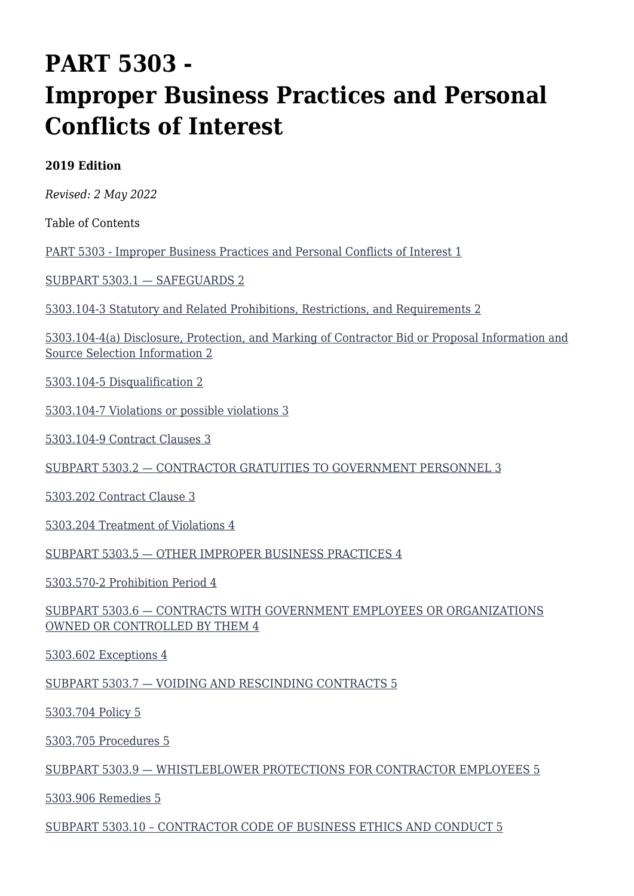# **PART 5303 - Improper Business Practices and Personal Conflicts of Interest**

#### **2019 Edition**

*Revised: 2 May 2022*

Table of Contents

[PART 5303 - Improper Business Practices and Personal Conflicts of Interest 1](#page--1-0)

[SUBPART 5303.1 — SAFEGUARDS 2](#page--1-0)

[5303.104-3 Statutory and Related Prohibitions, Restrictions, and Requirements 2](#page--1-0)

[5303.104-4\(a\) Disclosure, Protection, and Marking of Contractor Bid or Proposal Information and](#page--1-0) [Source Selection Information 2](#page--1-0)

[5303.104-5 Disqualification 2](#page--1-0)

[5303.104-7 Violations or possible violations 3](#page--1-0)

[5303.104-9 Contract Clauses 3](#page--1-0)

[SUBPART 5303.2 — CONTRACTOR GRATUITIES TO GOVERNMENT PERSONNEL 3](#page--1-0)

[5303.202 Contract Clause 3](#page--1-0)

[5303.204 Treatment of Violations 4](#page--1-0)

[SUBPART 5303.5 — OTHER IMPROPER BUSINESS PRACTICES 4](#page--1-0)

[5303.570-2 Prohibition Period 4](#page--1-0)

[SUBPART 5303.6 — CONTRACTS WITH GOVERNMENT EMPLOYEES OR ORGANIZATIONS](#page--1-0) [OWNED OR CONTROLLED BY THEM 4](#page--1-0)

[5303.602 Exceptions 4](#page--1-0)

[SUBPART 5303.7 — VOIDING AND RESCINDING CONTRACTS 5](#page--1-0)

[5303.704 Policy 5](#page--1-0)

[5303.705 Procedures 5](#page--1-0)

[SUBPART 5303.9 — WHISTLEBLOWER PROTECTIONS FOR CONTRACTOR EMPLOYEES 5](#page--1-0)

[5303.906 Remedies 5](#page--1-0)

[SUBPART 5303.10 – CONTRACTOR CODE OF BUSINESS ETHICS AND CONDUCT 5](#page--1-0)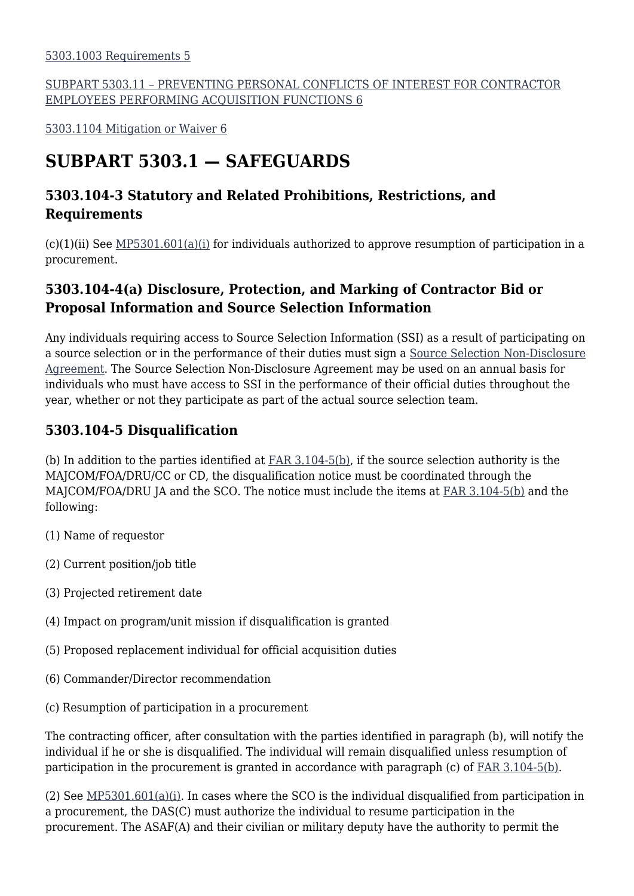#### [SUBPART 5303.11 – PREVENTING PERSONAL CONFLICTS OF INTEREST FOR CONTRACTOR](#page--1-0) [EMPLOYEES PERFORMING ACQUISITION FUNCTIONS 6](#page--1-0)

[5303.1104 Mitigation or Waiver 6](#page--1-0)

### **SUBPART 5303.1 — SAFEGUARDS**

#### **5303.104-3 Statutory and Related Prohibitions, Restrictions, and Requirements**

 $(c)(1)(ii)$  See [MP5301.601\(a\)\(i\)](https://origin-www.acquisition.gov/%5Brp:link:affars-mp-AFFARS-MP_PART-mp_5301.601(a)(i)%5D) for individuals authorized to approve resumption of participation in a procurement.

#### **5303.104-4(a) Disclosure, Protection, and Marking of Contractor Bid or Proposal Information and Source Selection Information**

Any individuals requiring access to Source Selection Information (SSI) as a result of participating on a source selection or in the performance of their duties must sign a [Source Selection Non-Disclosure](https://usaf.dps.mil/sites/AFCC/KnowledgeCenter/contracting_templates/ss_non-disclosure_agreement.pdf) [Agreement](https://usaf.dps.mil/sites/AFCC/KnowledgeCenter/contracting_templates/ss_non-disclosure_agreement.pdf). The Source Selection Non-Disclosure Agreement may be used on an annual basis for individuals who must have access to SSI in the performance of their official duties throughout the year, whether or not they participate as part of the actual source selection team.

#### **5303.104-5 Disqualification**

(b) In addition to the parties identified at [FAR 3.104-5\(b\),](https://www.acquisition.gov/far/part-3#FAR_3_104_5) if the source selection authority is the MAJCOM/FOA/DRU/CC or CD, the disqualification notice must be coordinated through the MAJCOM/FOA/DRU JA and the SCO. The notice must include the items at [FAR 3.104-5\(b\)](https://www.acquisition.gov/far/part-3#FAR_3_104_5) and the following:

- (1) Name of requestor
- (2) Current position/job title
- (3) Projected retirement date
- (4) Impact on program/unit mission if disqualification is granted
- (5) Proposed replacement individual for official acquisition duties
- (6) Commander/Director recommendation
- (c) Resumption of participation in a procurement

The contracting officer, after consultation with the parties identified in paragraph (b), will notify the individual if he or she is disqualified. The individual will remain disqualified unless resumption of participation in the procurement is granted in accordance with paragraph (c) of [FAR 3.104-5\(b\).](https://www.acquisition.gov/far/part-3#FAR_3_104_5)

(2) See [MP5301.601\(a\)\(i\).](https://origin-www.acquisition.gov/%5Brp:link:affars-mp-AFFARS-MP_PART-mp_5301.601(a)(i)%5D) In cases where the SCO is the individual disqualified from participation in a procurement, the DAS(C) must authorize the individual to resume participation in the procurement. The ASAF(A) and their civilian or military deputy have the authority to permit the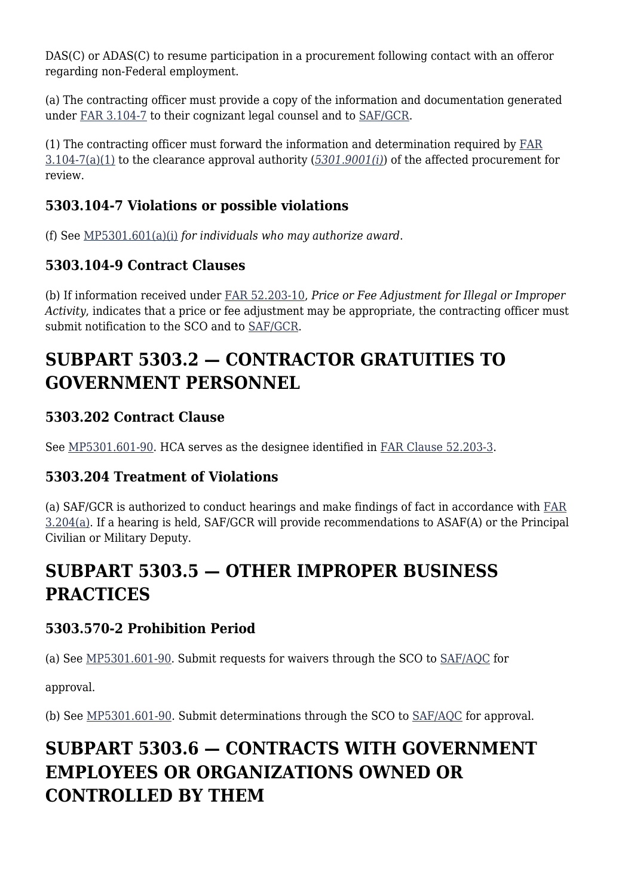DAS(C) or ADAS(C) to resume participation in a procurement following contact with an offeror regarding non-Federal employment.

(a) The contracting officer must provide a copy of the information and documentation generated under [FAR 3.104-7](https://www.acquisition.gov/far/part-3#FAR_3_104_7) to their cognizant legal counsel and to [SAF/GCR](mailto:SAF.GCR.Workflow@us.af.mil).

(1) The contracting officer must forward the information and determination required by  $FAR$ [3.104-7\(a\)\(1\)](https://www.acquisition.gov/far/part-3#FAR_3_104_7) to the clearance approval authority (*[5301.9001\(i\)](https://origin-www.acquisition.gov/%5Brp:link:affars-part-5301%5D#p5301_9001_i)*) of the affected procurement for review.

#### **5303.104-7 Violations or possible violations**

(f) See [MP5301.601\(a\)\(i\)](https://origin-www.acquisition.gov/%5Brp:link:affars-mp-AFFARS-MP_PART-mp_5301.601(a)(i)%5D) *for individuals who may authorize award*.

#### **5303.104-9 Contract Clauses**

(b) If information received under [FAR 52.203-10](https://www.acquisition.gov/far/part-52#FAR_52_203_10), *Price or Fee Adjustment for Illegal or Improper Activity*, indicates that a price or fee adjustment may be appropriate, the contracting officer must submit notification to the SCO and to [SAF/GCR](mailto:SAF.GCR.Workflow@us.af.mil).

# **SUBPART 5303.2 — CONTRACTOR GRATUITIES TO GOVERNMENT PERSONNEL**

#### **5303.202 Contract Clause**

See [MP5301.601-90](https://origin-www.acquisition.gov/%5Brp:link:affars-mp-AFFARS-MP_PART-mp_5301.601-90%5D). HCA serves as the designee identified in [FAR Clause 52.203-3](https://www.acquisition.gov/far/part-52#FAR_52_203_3).

#### **5303.204 Treatment of Violations**

(a) SAF/GCR is authorized to conduct hearings and make findings of fact in accordance with [FAR](https://www.acquisition.gov/far/part-3#FAR_3_204) [3.204\(a\)](https://www.acquisition.gov/far/part-3#FAR_3_204). If a hearing is held, SAF/GCR will provide recommendations to ASAF(A) or the Principal Civilian or Military Deputy.

## **SUBPART 5303.5 — OTHER IMPROPER BUSINESS PRACTICES**

#### **5303.570-2 Prohibition Period**

(a) See [MP5301.601-90.](https://origin-www.acquisition.gov/%5Brp:link:affars-mp-file:///%5C%5Cperiwinkle_vnx%5Csaf_aqc_org%5CAQCP%5C5640%20-%20AFFARS%5CArchive%20--%20AFACs%5C!_Previous%20AFACs%5C2022%5C2022%20(01)%5C2.%20%20Changes%20Accepted%5Cmp_5301.601-90%5D) Submit requests for waivers through the SCO to [SAF/AQC](mailto:SAF.AQ.SAF-AQC.Workflow@us.af.mil) for

approval.

(b) See [MP5301.601-90](https://origin-www.acquisition.gov/%5Brp:link:affars-mp-file:///%5C%5Cperiwinkle_vnx%5Csaf_aqc_org%5CAQCP%5C5640%20-%20AFFARS%5CArchive%20--%20AFACs%5C!_Previous%20AFACs%5C2022%5C2022%20(01)%5C2.%20%20Changes%20Accepted%5Cmp_5301.601-90%5D). Submit determinations through the SCO to [SAF/AQC](mailto:SAF.AQ.SAF-AQC.Workflow@us.af.mil) for approval.

# **SUBPART 5303.6 — CONTRACTS WITH GOVERNMENT EMPLOYEES OR ORGANIZATIONS OWNED OR CONTROLLED BY THEM**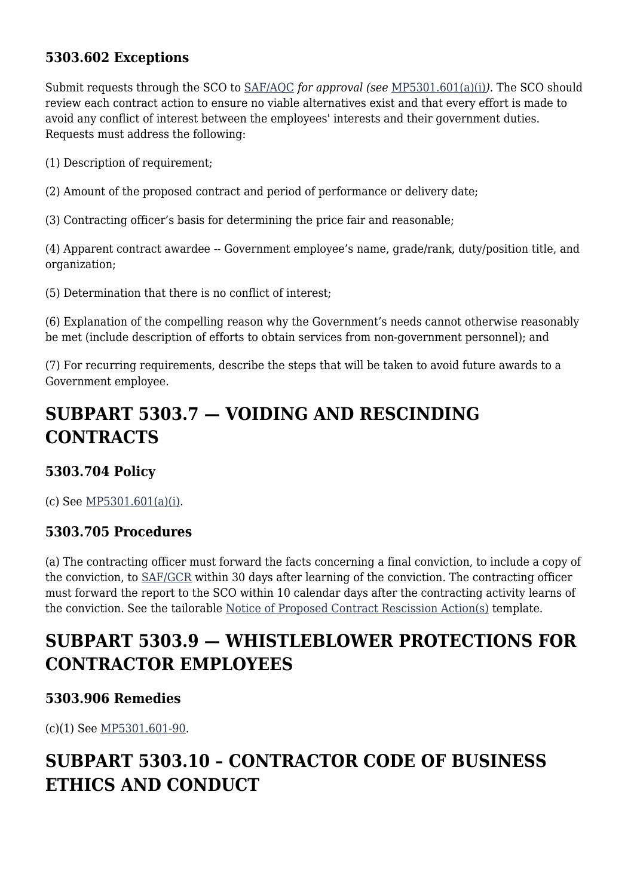#### **5303.602 Exceptions**

Submit requests through the SCO to [SAF/AQC](mailto:SAF.AQ.SAF-AQC.Workflow@us.af.mil) *for approval (see* [MP5301.601\(a\)\(i\)](https://origin-www.acquisition.gov/%5Brp:link:affars-mp-AFFARS-MP_PART-mp_5301.601(a)(i)%5D)*)*. The SCO should review each contract action to ensure no viable alternatives exist and that every effort is made to avoid any conflict of interest between the employees' interests and their government duties. Requests must address the following:

(1) Description of requirement;

(2) Amount of the proposed contract and period of performance or delivery date;

(3) Contracting officer's basis for determining the price fair and reasonable;

(4) Apparent contract awardee -- Government employee's name, grade/rank, duty/position title, and organization;

(5) Determination that there is no conflict of interest;

(6) Explanation of the compelling reason why the Government's needs cannot otherwise reasonably be met (include description of efforts to obtain services from non-government personnel); and

(7) For recurring requirements, describe the steps that will be taken to avoid future awards to a Government employee.

### **SUBPART 5303.7 — VOIDING AND RESCINDING CONTRACTS**

#### **5303.704 Policy**

(c) See [MP5301.601\(a\)\(i\)](https://origin-www.acquisition.gov/%5Brp:link:affars-mp-AFFARS-MP_PART-mp_5301.601(a)(i)%5D).

#### **5303.705 Procedures**

(a) The contracting officer must forward the facts concerning a final conviction, to include a copy of the conviction, to [SAF/GCR](mailto:SAF.GCR.Workflow@us.af.mil) within 30 days after learning of the conviction. The contracting officer must forward the report to the SCO within 10 calendar days after the contracting activity learns of the conviction. See the tailorable [Notice of Proposed Contract Rescission Action\(s\)](https://usaf.dps.mil/sites/AFCC/KnowledgeCenter/contracting_templates/rescission_letter_to_contractor.pdf) template.

### **SUBPART 5303.9 — WHISTLEBLOWER PROTECTIONS FOR CONTRACTOR EMPLOYEES**

#### **5303.906 Remedies**

(c)(1) See [MP5301.601-90](https://origin-www.acquisition.gov/%5Brp:link:affars-mp-file:///%5C%5Cperiwinkle_vnx%5Csaf_aqc_org%5CAQCP%5C5640%20-%20AFFARS%5CArchive%20--%20AFACs%5C!_Previous%20AFACs%5C2022%5C2022%20(01)%5C2.%20%20Changes%20Accepted%5Cmp_5301.601-90%5D).

### **SUBPART 5303.10 – CONTRACTOR CODE OF BUSINESS ETHICS AND CONDUCT**